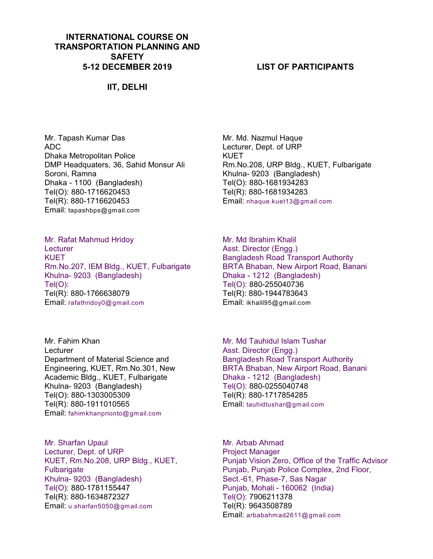## **INTERNATIONAL COURSE ON TRANSPORTATION PLANNING AND SAFETY 5-12 DECEMBER 2019**

## **IIT, DELHI**

Mr. Tapash Kumar Das ADC Dhaka Metropolitan Police DMP Headquaters, 36, Sahid Monsur Ali Soroni, Ramna Dhaka - 1100 (Bangladesh) Tel(O): 880-1716620453 Tel(R): 880-1716620453 Email: tapashbps@gmail.com

Mr. Rafat Mahmud Hridoy **Lecturer** KUET Rm.No.207, IEM Bldg., KUET, Fulbarigate Khulna- 9203 (Bangladesh) Tel(O): Tel(R): 880-1766638079 Email: rafathridoy0@gmail.com

Mr. Fahim Khan **Lecturer** Department of Material Science and Engineering, KUET, Rm.No.301, New Academic Bldg., KUET, Fulbarigate Khulna- 9203 (Bangladesh) Tel(O): 880-1303005309 Tel(R): 880-1911010565 Email: fahimkhanprionto@gmail.com

Mr. Sharfan Upaul Lecturer, Dept. of URP KUET, Rm.No.208, URP Bldg., KUET, **Fulbarigate** Khulna- 9203 (Bangladesh) Tel(O): 880-1781155447 Tel(R): 880-1634872327 Email: u.sharfan5050@gmail.com

## **LIST OF PARTICIPANTS**

Mr. Md. Nazmul Haque Lecturer, Dept. of URP KUET Rm.No.208, URP Bldg., KUET, Fulbarigate Khulna- 9203 (Bangladesh) Tel(O): 880-1681934283 Tel(R): 880-1681934283 Email: nhaque.kuet13@gmail.com

Mr. Md Ibrahim Khalil Asst. Director (Engg.) Bangladesh Road Transport Authority BRTA Bhaban, New Airport Road, Banani Dhaka - 1212 (Bangladesh) Tel(O): 880-255040736 Tel(R): 880-1944783643 Email: ikhalil95@gmail.com

Mr. Md Tauhidul Islam Tushar Asst. Director (Engg.) Bangladesh Road Transport Authority BRTA Bhaban, New Airport Road, Banani Dhaka - 1212 (Bangladesh) Tel(O): 880-0255040748 Tel(R): 880-1717854285 Email: tauhidtushar@gmail.com

Mr. Arbab Ahmad Project Manager Punjab Vision Zero, Office of the Traffic Advisor Punjab, Punjab Police Complex, 2nd Floor, Sect.-61, Phase-7, Sas Nagar Punjab, Mohali - 160062 (India) Tel(O): 7906211378 Tel(R): 9643508789 Email: arbabahmad2611@gmail.com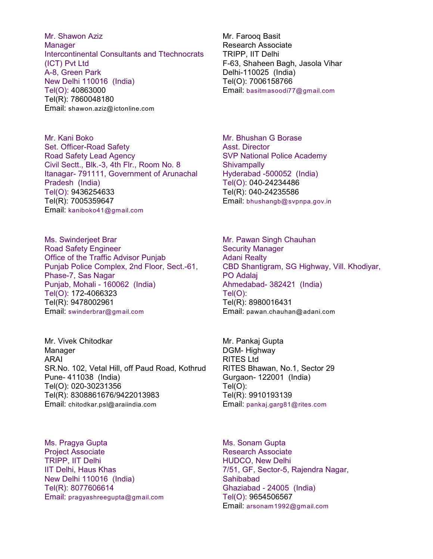Mr. Shawon Aziz Manager Intercontinental Consultants and Ttechnocrats (ICT) Pvt Ltd A-8, Green Park New Delhi 110016 (India) Tel(O): 40863000 Tel(R): 7860048180 Email: shawon.aziz@ictonline.com

Mr. Kani Boko Set. Officer-Road Safety Road Safety Lead Agency Civil Sectt., Blk.-3, 4th Flr., Room No. 8 Itanagar- 791111, Government of Arunachal Pradesh (India) Tel(O): 9436254633 Tel(R): 7005359647 Email: kaniboko41@gmail.com

Ms. Swinderjeet Brar Road Safety Engineer Office of the Traffic Advisor Punjab Punjab Police Complex, 2nd Floor, Sect.-61, Phase-7, Sas Nagar Punjab, Mohali - 160062 (India) Tel(O): 172-4066323 Tel(R): 9478002961 Email: swinderbrar@gmail.com

Mr. Vivek Chitodkar Manager ARAI SR.No. 102, Vetal Hill, off Paud Road, Kothrud Pune- 411038 (India) Tel(O): 020-30231356 Tel(R): 8308861676/9422013983 Email: chitodkar.psl@araiindia.com

Ms. Pragya Gupta Project Associate TRIPP, IIT Delhi IIT Delhi, Haus Khas New Delhi 110016 (India) Tel(R): 8077606614 Email: pragyashreegupta@gmail.com Mr. Farooq Basit Research Associate TRIPP, IIT Delhi F-63, Shaheen Bagh, Jasola Vihar Delhi-110025 (India) Tel(O): 7006158766 Email: basitmasoodi77@gmail.com

Mr. Bhushan G Borase Asst. Director SVP National Police Academy **Shivampally** Hyderabad -500052 (India) Tel(O): 040-24234486 Tel(R): 040-24235586 Email: bhushangb@svpnpa.gov.in

Mr. Pawan Singh Chauhan Security Manager Adani Realty CBD Shantigram, SG Highway, Vill. Khodiyar, PO Adalaj Ahmedabad- 382421 (India) Tel(O): Tel(R): 8980016431 Email: pawan.chauhan@adani.com

Mr. Pankaj Gupta DGM- Highway RITES Ltd RITES Bhawan, No.1, Sector 29 Gurgaon- 122001 (India) Tel(O): Tel(R): 9910193139 Email: pankaj.garg81@rites.com

Ms. Sonam Gupta Research Associate HUDCO, New Delhi 7/51, GF, Sector-5, Rajendra Nagar, Sahibabad Ghaziabad - 24005 (India) Tel(O): 9654506567 Email: arsonam1992@gmail.com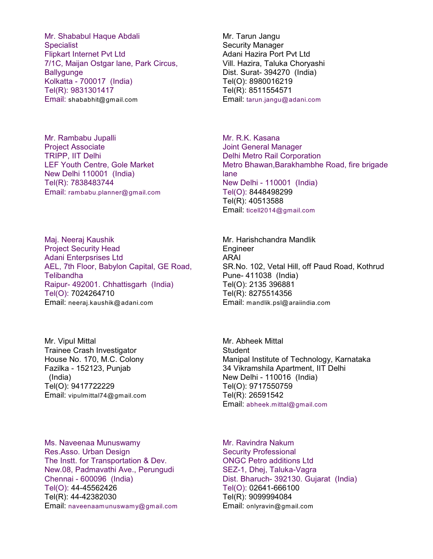Mr. Shababul Haque Abdali **Specialist** Flipkart Internet Pvt Ltd 7/1C, Maijan Ostgar lane, Park Circus, **Ballygunge** Kolkatta - 700017 (India) Tel(R): 9831301417 Email: shababhit@gmail.com

Mr. Rambabu Jupalli Project Associate TRIPP, IIT Delhi LEF Youth Centre, Gole Market New Delhi 110001 (India) Tel(R): 7838483744 Email: rambabu.planner@gmail.com

Maj. Neeraj Kaushik Project Security Head Adani Enterpsrises Ltd AEL, 7th Floor, Babylon Capital, GE Road, Telibandha Raipur- 492001. Chhattisgarh (India) Tel(O): 7024264710 Email: neeraj.kaushik@adani.com

Mr. Vipul Mittal Trainee Crash Investigator House No. 170, M.C. Colony Fazilka - 152123, Punjab (India) Tel(O): 9417722229 Email: vipulmittal74@gmail.com

Ms. Naveenaa Munuswamy Res.Asso. Urban Design The Instt. for Transportation & Dev. New.08, Padmavathi Ave., Perungudi Chennai - 600096 (India) Tel(O): 44-45562426 Tel(R): 44-42382030 Email: naveenaamunuswamy@gmail.com Mr. Tarun Jangu Security Manager Adani Hazira Port Pvt Ltd Vill. Hazira, Taluka Choryashi Dist. Surat- 394270 (India) Tel(O): 8980016219 Tel(R): 8511554571 Email: tarun.jangu@adani.com

Mr. R.K. Kasana Joint General Manager Delhi Metro Rail Corporation Metro Bhawan,Barakhambhe Road, fire brigade lane New Delhi - 110001 (India) Tel(O): 8448498299 Tel(R): 40513588 Email: ticell2014@gmail.com

Mr. Harishchandra Mandlik Engineer ARAI SR.No. 102, Vetal Hill, off Paud Road, Kothrud Pune- 411038 (India) Tel(O): 2135 396881 Tel(R): 8275514356 Email: mandlik.psl@araiindia.com

Mr. Abheek Mittal **Student** Manipal Institute of Technology, Karnataka 34 Vikramshila Apartment, IIT Delhi New Delhi - 110016 (India) Tel(O): 9717550759 Tel(R): 26591542 Email: abheek.mittal@gmail.com

Mr. Ravindra Nakum Security Professional ONGC Petro additions Ltd SEZ-1, Dhej, Taluka-Vagra Dist. Bharuch- 392130. Gujarat (India) Tel(O): 02641-666100 Tel(R): 9099994084 Email: onlyravin@gmail.com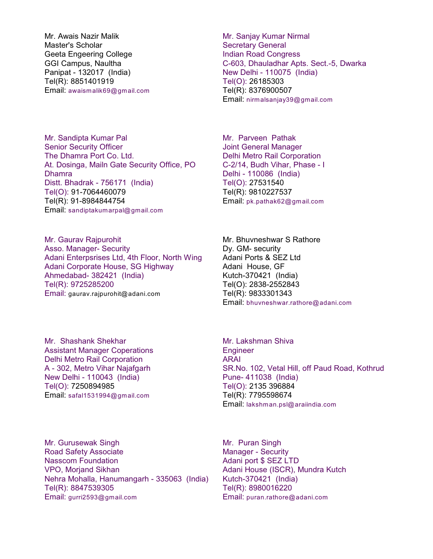Mr. Awais Nazir Malik Master's Scholar Geeta Engeering College GGI Campus, Naultha Panipat - 132017 (India) Tel(R): 8851401919 Email: awaismalik69@gmail.com

Mr. Sandipta Kumar Pal Senior Security Officer The Dhamra Port Co. Ltd. At. Dosinga, Mailn Gate Security Office, PO Dhamra Distt. Bhadrak - 756171 (India) Tel(O): 91-7064460079 Tel(R): 91-8984844754 Email: sandiptakumarpal@gmail.com

Mr. Gaurav Rajpurohit Asso. Manager- Security Adani Enterpsrises Ltd, 4th Floor, North Wing Adani Corporate House, SG Highway Ahmedabad- 382421 (India) Tel(R): 9725285200 Email: gaurav.rajpurohit@adani.com

Mr. Shashank Shekhar Assistant Manager Coperations Delhi Metro Rail Corporation A - 302, Metro Vihar Najafgarh New Delhi - 110043 (India) Tel(O): 7250894985 Email: safal1531994@gmail.com

Mr. Sanjay Kumar Nirmal Secretary General Indian Road Congress C-603, Dhauladhar Apts. Sect.-5, Dwarka New Delhi - 110075 (India) Tel(O): 26185303 Tel(R): 8376900507 Email: nirmalsanjay39@gmail.com

Mr. Parveen Pathak Joint General Manager Delhi Metro Rail Corporation C-2/14, Budh Vihar, Phase - I Delhi - 110086 (India) Tel(O): 27531540 Tel(R): 9810227537 Email: pk.pathak62@gmail.com

Mr. Bhuvneshwar S Rathore Dy. GM- security Adani Ports & SEZ Ltd Adani House, GF Kutch-370421 (India) Tel(O): 2838-2552843 Tel(R): 9833301343 Email: bhuvneshwar.rathore@adani.com

Mr. Lakshman Shiva **Engineer** ARAI SR.No. 102, Vetal Hill, off Paud Road, Kothrud Pune- 411038 (India) Tel(O): 2135 396884 Tel(R): 7795598674 Email: lakshman.psl@araiindia.com

Mr. Gurusewak Singh Road Safety Associate Nasscom Foundation VPO, Morjand Sikhan Nehra Mohalla, Hanumangarh - 335063 (India) Tel(R): 8847539305 Email: gurri2593@gmail.com

Mr. Puran Singh Manager - Security Adani port \$ SEZ LTD Adani House (ISCR), Mundra Kutch Kutch-370421 (India) Tel(R): 8980016220 Email: puran.rathore@adani.com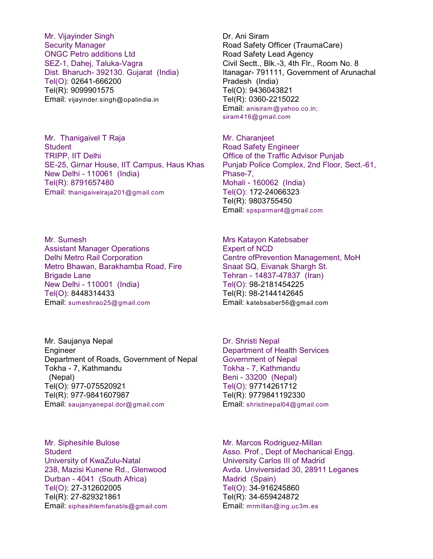Mr. Vijayinder Singh Security Manager ONGC Petro additions Ltd SEZ-1, Dahej, Taluka-Vagra Dist. Bharuch- 392130. Gujarat (India) Tel(O): 02641-666200 Tel(R): 9099901575 Email: vijayinder.singh@opalindia.in

Mr. Thanigaivel T Raja **Student** TRIPP, IIT Delhi SE-25, Girnar House, IIT Campus, Haus Khas New Delhi - 110061 (India) Tel(R): 8791657480 Email: thanigaivelraja201@gmail.com

Mr. Sumesh Assistant Manager Operations Delhi Metro Rail Corporation Metro Bhawan, Barakhamba Road, Fire Brigade Lane New Delhi - 110001 (India) Tel(O): 8448314433 Email: sumeshrao25@gmail.com

Mr. Saujanya Nepal Engineer Department of Roads, Government of Nepal Tokha - 7, Kathmandu (Nepal) Tel(O): 977-075520921 Tel(R): 977-9841607987 Email: saujanyanepal.dor@gmail.com

Mr. Siphesihle Bulose **Student** University of KwaZulu-Natal 238, Mazisi Kunene Rd., Glenwood Durban - 4041 (South Africa) Tel(O): 27-312602005 Tel(R): 27-829321861 Email: siphesihlemfanabls@gmail.com Dr. Ani Siram Road Safety Officer (TraumaCare) Road Safety Lead Agency Civil Sectt., Blk.-3, 4th Flr., Room No. 8 Itanagar- 791111, Government of Arunachal Pradesh (India) Tel(O): 9436043821 Tel(R): 0360-2215022 Email: anisiram@yahoo.co.in; siram416@gmail.com

Mr. Charanjeet Road Safety Engineer Office of the Traffic Advisor Punjab Punjab Police Complex, 2nd Floor, Sect.-61, Phase-7, Mohali - 160062 (India) Tel(O): 172-24066323 Tel(R): 9803755450 Email: spsparmar4@gmail.com

Mrs Katayon Katebsaber Expert of NCD Centre ofPrevention Management, MoH Snaat SQ, Eivanak Shargh St. Tehran - 14837-47837 (Iran) Tel(O): 98-2181454225 Tel(R): 98-2144142645 Email: katebsaber56@gmail.com

Dr. Shristi Nepal Department of Health Services Government of Nepal Tokha - 7, Kathmandu Beni - 33200 (Nepal) Tel(O): 97714261712 Tel(R): 9779841192330 Email: shristinepal04@gmail.com

Mr. Marcos Rodriguez-Millan Asso. Prof., Dept of Mechanical Engg. University Carlos III of Madrid Avda. Unviversidad 30, 28911 Leganes Madrid (Spain) Tel(O): 34-916245860 Tel(R): 34-659424872 Email: mrmillan@ing.uc3m.es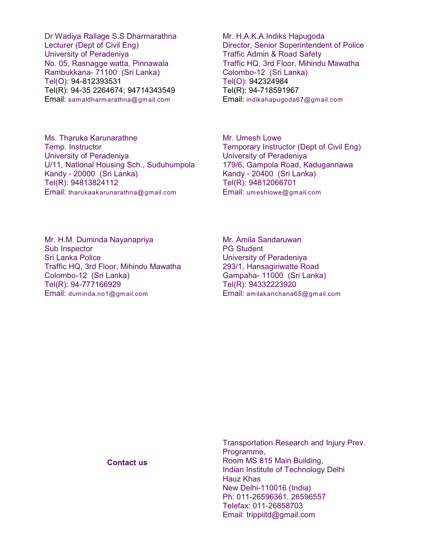Dr Wadiya Rallage S.S Dharmarathna Lecturer (Dept of Civil Eng) University of Peradeniya No. 05, Rasnagge watta, Pinnawala Rambukkana- 71100 (Sri Lanka) Tel(O): 94-812393531 Tel(R): 94-35 2264674; 94714343549 Email: samaldharmarathna@gmail.com

Ms. Tharuka Karunarathne Temp. Instructor University of Peradeniya U/11, National Housing Sch., Suduhumpola Kandy - 20000 (Sri Lanka) Tel(R): 94813824112 Email: tharukaakarunarathna@gmail.com

Mr. H.A.K.A.Indiks Hapugoda Director, Senior Superintendent of Police Traffic Admin & Road Safety Traffic HQ, 3rd Floor, Mihindu Mawatha Colombo-12 (Sri Lanka) Tel(O): 942324984 Tel(R): 94-718591967 Email: indikahapugoda67@gmail.com

Mr. Umesh Lowe Temporary Instructor (Dept of Civil Eng) University of Peradeniya 179/6, Gampola Road, Kadugannawa Kandy - 20400 (Sri Lanka) Tel(R): 94812066701 Email: umeshlowe@gmail.com

Mr. H.M. Duminda Nayanapriya Sub Inspector Sri Lanka Police Traffic HQ, 3rd Floor, Mihindu Mawatha Colombo-12 (Sri Lanka) Tel(R): 94-777166929 Email: duminda.no1@gmail.com

Mr. Amila Sandaruwan PG Student University of Peradeniya 293/1, Hansagiriwatte Road Gampaha- 11000 (Sri Lanka) Tel(R): 94332223920 Email: amilakanchana65@gmail.com

**Contact us**

Transportation Research and Injury Prev. Programme, Room MS 815 Main Building, Indian Institute of Technology Delhi Hauz Khas New Delhi-110016 (India) Ph: 011-26596361, 26596557 Telefax: 011-26858703 Email: trippiitd@gmail.com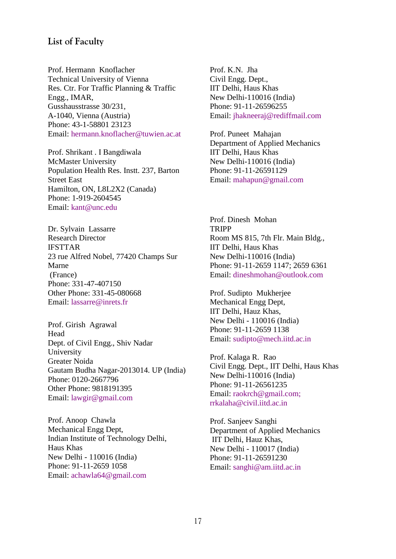## **List of Faculty**

Prof. Hermann Knoflacher Technical University of Vienna Res. Ctr. For Traffic Planning & Traffic Engg., IMAR, Gusshausstrasse 30/231, A-1040, Vienna (Austria) Phone: 43-1-58801 23123 Email: hermann.knoflacher@tuwien.ac.at

Prof. Shrikant . I Bangdiwala McMaster University Population Health Res. Instt. 237, Barton Street East Hamilton, ON, L8L2X2 (Canada) Phone: 1-919-2604545 Email: kant@unc.edu

Dr. Sylvain Lassarre Research Director IFSTTAR 23 rue Alfred Nobel, 77420 Champs Sur Marne (France) Phone: 331-47-407150 Other Phone: 331-45-080668 Email: lassarre@inrets.fr

Prof. Girish Agrawal Head Dept. of Civil Engg., Shiv Nadar University Greater Noida Gautam Budha Nagar-2013014. UP (India) Phone: 0120-2667796 Other Phone: 9818191395 Email: lawgir@gmail.com

Prof. Anoop Chawla Mechanical Engg Dept, Indian Institute of Technology Delhi, Haus Khas New Delhi - 110016 (India) Phone: 91-11-2659 1058 Email: achawla64@gmail.com

Prof. K.N. Jha Civil Engg. Dept., IIT Delhi, Haus Khas New Delhi-110016 (India) Phone: 91-11-26596255 Email: jhakneeraj@rediffmail.com

Prof. Puneet Mahajan Department of Applied Mechanics IIT Delhi, Haus Khas New Delhi-110016 (India) Phone: 91-11-26591129 Email: mahapun@gmail.com

Prof. Dinesh Mohan **TRIPP** Room MS 815, 7th Flr. Main Bldg., IIT Delhi, Haus Khas New Delhi-110016 (India) Phone: 91-11-2659 1147; 2659 6361 Email: dineshmohan@outlook.com

Prof. Sudipto Mukherjee Mechanical Engg Dept, IIT Delhi, Hauz Khas, New Delhi - 110016 (India) Phone: 91-11-2659 1138 Email: sudipto@mech.iitd.ac.in

Prof. Kalaga R. Rao Civil Engg. Dept., IIT Delhi, Haus Khas New Delhi-110016 (India) Phone: 91-11-26561235 Email: raokrch@gmail.com; rrkalaha@civil.iitd.ac.in

Prof. Sanjeev Sanghi Department of Applied Mechanics IIT Delhi, Hauz Khas, New Delhi - 110017 (India) Phone: 91-11-26591230 Email: sanghi@am.iitd.ac.in